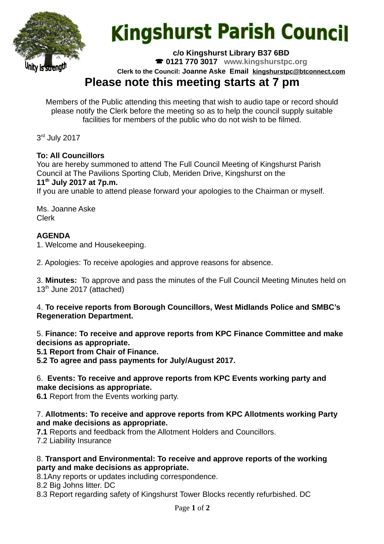

# **Kingshurst Parish Council**

**c/o Kingshurst Library B37 6BD**

**0121 770 3017 www.kingshurstpc.org**

**Clerk to the Council: Joanne Aske Email [kingshurstpc@btconnect.com](mailto:kingshurstpc@btconnect.com)**

# **Please note this meeting starts at 7 pm**

Members of the Public attending this meeting that wish to audio tape or record should please notify the Clerk before the meeting so as to help the council supply suitable facilities for members of the public who do not wish to be filmed.

3<sup>rd</sup> July 2017

## **To: All Councillors**

You are hereby summoned to attend The Full Council Meeting of Kingshurst Parish Council at The Pavilions Sporting Club, Meriden Drive, Kingshurst on the **11th July 2017 at 7p.m.**

If you are unable to attend please forward your apologies to the Chairman or myself.

Ms. Joanne Aske Clerk

## **AGENDA**

1. Welcome and Housekeeping.

2. Apologies: To receive apologies and approve reasons for absence.

3. **Minutes:** To approve and pass the minutes of the Full Council Meeting Minutes held on  $13<sup>th</sup>$  June 2017 (attached)

#### 4. **To receive reports from Borough Councillors, West Midlands Police and SMBC's Regeneration Department.**

5. **Finance: To receive and approve reports from KPC Finance Committee and make decisions as appropriate.**

**5.1 Report from Chair of Finance.**

**5.2 To agree and pass payments for July/August 2017.**

#### 6. **Events: To receive and approve reports from KPC Events working party and make decisions as appropriate.**

**6.1** Report from the Events working party.

#### 7. **Allotments: To receive and approve reports from KPC Allotments working Party and make decisions as appropriate.**

**7.1** Reports and feedback from the Allotment Holders and Councillors. 7.2 Liability Insurance

#### 8. **Transport and Environmental: To receive and approve reports of the working party and make decisions as appropriate.**

8.1Any reports or updates including correspondence.

8.2 Big Johns litter. DC

8.3 Report regarding safety of Kingshurst Tower Blocks recently refurbished. DC